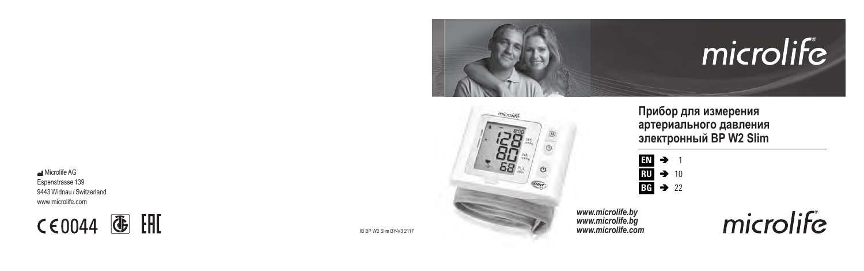**Microlife AG** Espenstrasse 139 9443 Widnau / Switzerland www.microlife.com

**CE0044 4 HI** 







# **Прибор для измерения артериального давления электронный BP W2 Slim**



*www.microlife.by www.microlife.bg www.microlife.com* microlife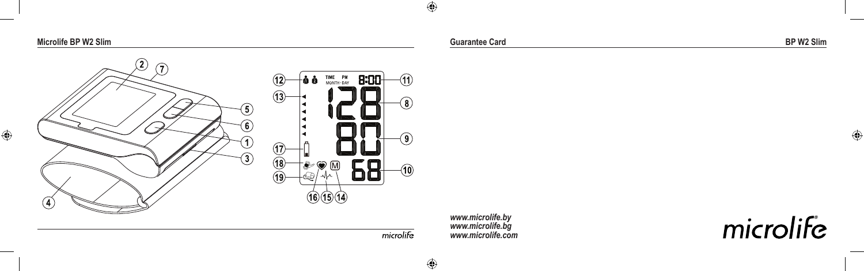**Microlife BP W2 Slim Guarantee Card BP W2 Slim**



*www.microlife.by www.microlife.bg www.microlife.com*

microlife

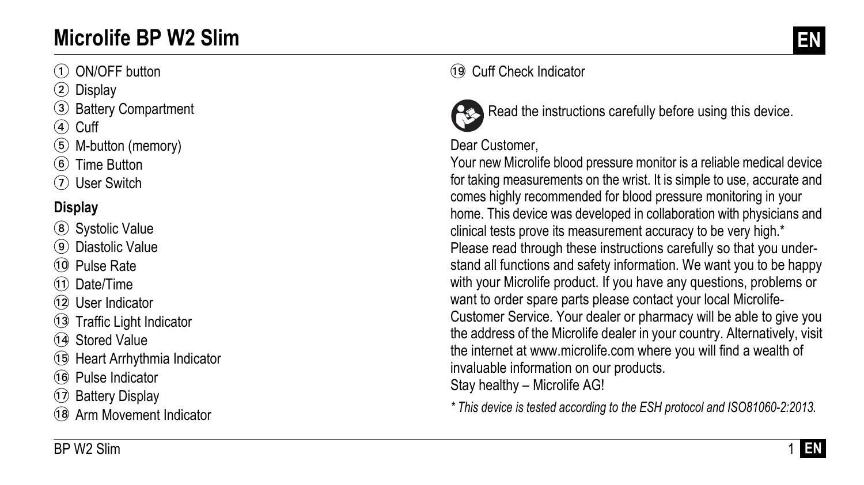# **Microlife BP W2 Slim EN**

### 1 ON/OFF button

- 2 Display
- 3 Battery Compartment
- $(4)$  Cuff
- 5 M-button (memory)
- 6 Time Button
- 7 User Switch

## **Display**

- 8 Systolic Value
- 9 Diastolic Value
- 10 Pulse Rate
- (11) Date/Time
- 12 User Indicator
- 13 Traffic Light Indicator
- 14 Stored Value
- AO Heart Arrhythmia Indicator
- 16 Pulse Indicator
- AQ Battery Display
- (18) Arm Movement Indicator

# AS Cuff Check Indicator



Read the instructions carefully before using this device.

#### Dear Customer,

Your new Microlife blood pressure monitor is a reliable medical device for taking measurements on the wrist. It is simple to use, accurate and comes highly recommended for blood pressure monitoring in your home. This device was developed in collaboration with physicians and clinical tests prove its measurement accuracy to be very high.\* Please read through these instructions carefully so that you understand all functions and safety information. We want you to be happy with your Microlife product. If you have any questions, problems or want to order spare parts please contact your local Microlife-Customer Service. Your dealer or pharmacy will be able to give you the address of the Microlife dealer in your country. Alternatively, visit the internet at www.microlife.com where you will find a wealth of invaluable information on our products. Stay healthy – Microlife AG!

*\* This device is tested according to the ESH protocol and ISO81060-2:2013.*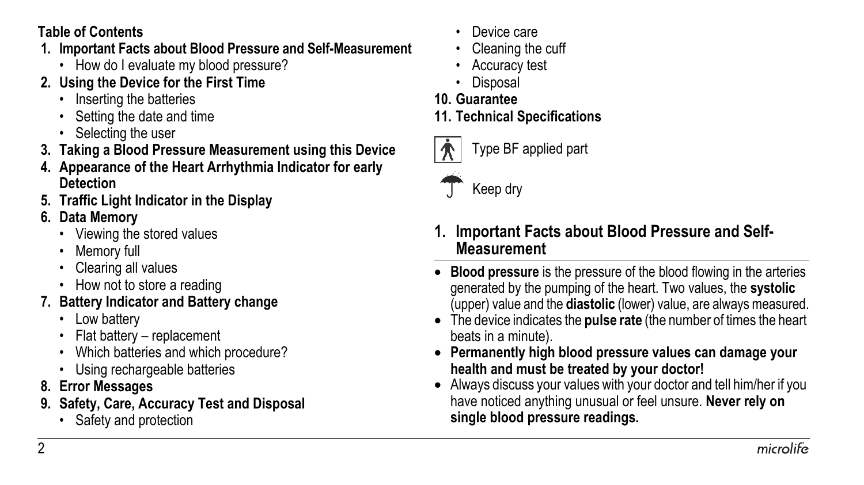#### **Table of Contents**

- **1. Important Facts about Blood Pressure and Self-Measurement**
	- How do I evaluate my blood pressure?
- **2. Using the Device for the First Time**
	- Inserting the batteries
	- Setting the date and time
	- Selecting the user
- **3. Taking a Blood Pressure Measurement using this Device**
- **4. Appearance of the Heart Arrhythmia Indicator for early Detection**
- **5. Traffic Light Indicator in the Display**
- **6. Data Memory**
	- Viewing the stored values
	- Memory full
	- Clearing all values
	- How not to store a reading

# **7. Battery Indicator and Battery change**

- Low battery
- Flat battery replacement
- Which batteries and which procedure?
- Using rechargeable batteries
- **8. Error Messages**
- **9. Safety, Care, Accuracy Test and Disposal**
	- Safety and protection
- Device care
- Cleaning the cuff
- Accuracy test
- Disposal
- **10. Guarantee**
- **11. Technical Specifications**



Type BF applied part



Keep dry

- <span id="page-3-0"></span>**1. Important Facts about Blood Pressure and Self-Measurement**
- **Blood pressure** is the pressure of the blood flowing in the arteries generated by the pumping of the heart. Two values, the **systolic** (upper) value and the **diastolic** (lower) value, are always measured.
- The device indicates the **pulse rate** (the number of times the heart beats in a minute).
- **Permanently high blood pressure values can damage your health and must be treated by your doctor!**
- Always discuss your values with your doctor and tell him/her if you have noticed anything unusual or feel unsure. **Never rely on single blood pressure readings.**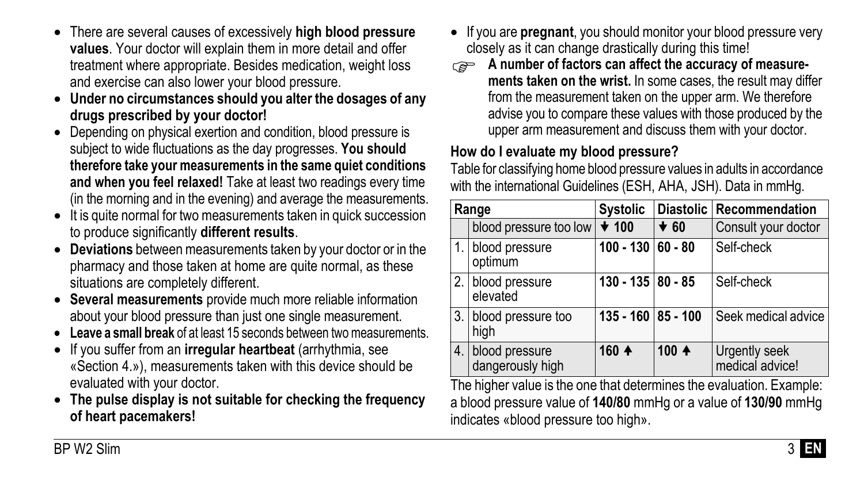- There are several causes of excessively **high blood pressure values**. Your doctor will explain them in more detail and offer treatment where appropriate. Besides medication, weight loss and exercise can also lower your blood pressure.
- **Under no circumstances should you alter the dosages of any drugs prescribed by your doctor!**
- Depending on physical exertion and condition, blood pressure is subject to wide fluctuations as the day progresses. **You should therefore take your measurements in the same quiet conditions and when you feel relaxed!** Take at least two readings every time (in the morning and in the evening) and average the measurements.
- It is quite normal for two measurements taken in quick succession to produce significantly **different results**.
- **Deviations** between measurements taken by your doctor or in the pharmacy and those taken at home are quite normal, as these situations are completely different.
- **Several measurements** provide much more reliable information about your blood pressure than just one single measurement.
- **Leave a small break** of at least 15 seconds between two measurements.
- If you suffer from an **irregular heartbeat** (arrhythmia, see «Section [4.»](#page-6-0)), measurements taken with this device should be evaluated with your doctor.
- **The pulse display is not suitable for checking the frequency of heart pacemakers!**
- If you are **pregnant**, you should monitor your blood pressure very closely as it can change drastically during this time!
- **A** number of factors can affect the accuracy of measure**ments taken on the wrist.** In some cases, the result may differ from the measurement taken on the upper arm. We therefore advise you to compare these values with those produced by the upper arm measurement and discuss them with your doctor.

### **How do I evaluate my blood pressure?**

Table for classifying home blood pressure values in adults in accordance with the international Guidelines (ESH, AHA, JSH). Data in mmHg.

| Range |                                    | <b>Systolic</b>     |            | Diastolic Recommendation         |
|-------|------------------------------------|---------------------|------------|----------------------------------|
|       | blood pressure too low             | $\star$ 100         | $\star$ 60 | Consult your doctor              |
|       | 1. blood pressure<br>optimum       | $100 - 130$ 60 - 80 |            | Self-check                       |
|       | 2. blood pressure<br>elevated      | 130 - 135 80 - 85   |            | Self-check                       |
|       | 3. blood pressure too<br>high      | 135 - 160 85 - 100  |            | Seek medical advice              |
| 4.    | blood pressure<br>dangerously high | 160 4               | $100 +$    | Urgently seek<br>medical advice! |

The higher value is the one that determines the evaluation. Example: a blood pressure value of **140/80** mmHg or a value of **130/90** mmHg indicates «blood pressure too high».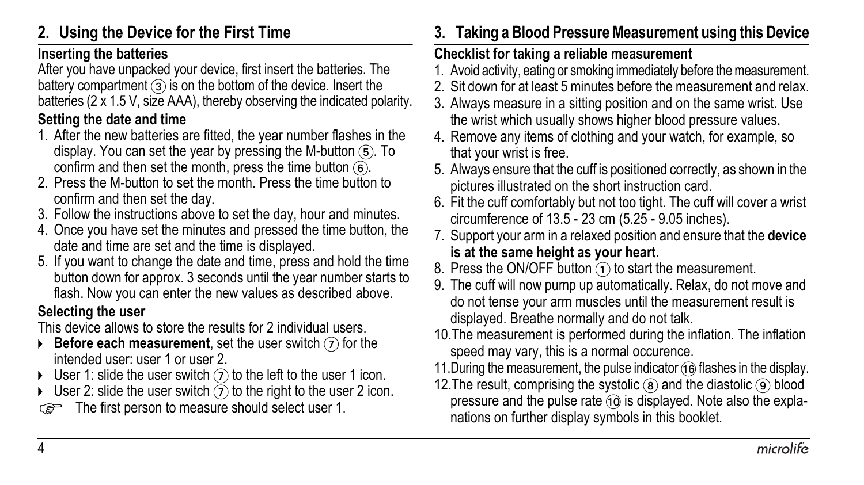# <span id="page-5-0"></span>**2. Using the Device for the First Time**

#### **Inserting the batteries**

After you have unpacked your device, first insert the batteries. The battery compartment  $(3)$  is on the bottom of the device. Insert the batteries (2 x 1.5 V, size AAA), thereby observing the indicated polarity.

#### **Setting the date and time**

- 1. After the new batteries are fitted, the year number flashes in the display. You can set the year by pressing the M-button  $(6)$ . To confirm and then set the month, press the time button  $(6)$ .
- 2. Press the M-button to set the month. Press the time button to confirm and then set the day.
- 3. Follow the instructions above to set the day, hour and minutes.
- 4. Once you have set the minutes and pressed the time button, the date and time are set and the time is displayed.
- 5. If you want to change the date and time, press and hold the time button down for approx. 3 seconds until the year number starts to flash. Now you can enter the new values as described above.

#### **Selecting the user**

This device allows to store the results for 2 individual users.

- **Before each measurement**, set the user switch  $\widehat{I}$  for the intended user: user 1 or user 2.
- $\triangleright$  User 1: slide the user switch  $\widehat{I}$  to the left to the user 1 icon.
- User 2: slide the user switch  $(7)$  to the right to the user 2 icon.
- The first person to measure should select user 1.

# **3. Taking a Blood Pressure Measurement using this Device**

#### **Checklist for taking a reliable measurement**

- 1. Avoid activity, eating or smoking immediately before the measurement.
- 2. Sit down for at least 5 minutes before the measurement and relax.
- 3. Always measure in a sitting position and on the same wrist. Use the wrist which usually shows higher blood pressure values.
- 4. Remove any items of clothing and your watch, for example, so that your wrist is free.
- 5. Always ensure that the cuff is positioned correctly, as shown in the pictures illustrated on the short instruction card.
- 6. Fit the cuff comfortably but not too tight. The cuff will cover a wrist circumference of 13.5 - 23 cm (5.25 - 9.05 inches).
- 7. Support your arm in a relaxed position and ensure that the **device is at the same height as your heart.**
- 8. Press the ON/OFF button  $\Omega$  to start the measurement.
- 9. The cuff will now pump up automatically. Relax, do not move and do not tense your arm muscles until the measurement result is displayed. Breathe normally and do not talk.
- 10.The measurement is performed during the inflation. The inflation speed may vary, this is a normal occurence.
- 11. During the measurement, the pulse indicator  $\widehat{a}$  flashes in the display.
- 12. The result, comprising the systolic  $\circledast$  and the diastolic  $\circledast$  blood pressure and the pulse rate  $\widehat{10}$  is displayed. Note also the explanations on further display symbols in this booklet.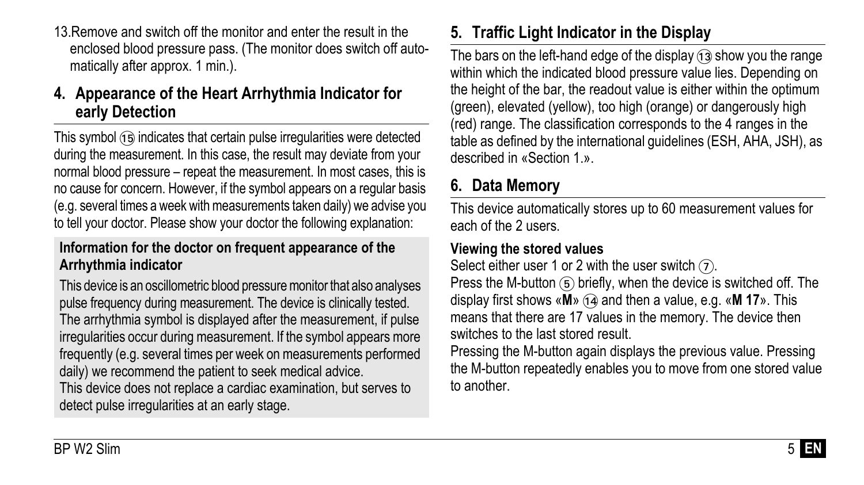13.Remove and switch off the monitor and enter the result in the enclosed blood pressure pass. (The monitor does switch off automatically after approx. 1 min.).

### <span id="page-6-0"></span>**4. Appearance of the Heart Arrhythmia Indicator for early Detection**

This symbol (15) indicates that certain pulse irregularities were detected during the measurement. In this case, the result may deviate from your normal blood pressure – repeat the measurement. In most cases, this is no cause for concern. However, if the symbol appears on a regular basis (e.g. several times a week with measurements taken daily) we advise you to tell your doctor. Please show your doctor the following explanation:

#### **Information for the doctor on frequent appearance of the Arrhythmia indicator**

This device is an oscillometric blood pressure monitor that also analyses pulse frequency during measurement. The device is clinically tested. The arrhythmia symbol is displayed after the measurement, if pulse irregularities occur during measurement. If the symbol appears more frequently (e.g. several times per week on measurements performed daily) we recommend the patient to seek medical advice.

This device does not replace a cardiac examination, but serves to detect pulse irregularities at an early stage.

# **5. Traffic Light Indicator in the Display**

The bars on the left-hand edge of the display  $(13)$  show you the range within which the indicated blood pressure value lies. Depending on the height of the bar, the readout value is either within the optimum (green), elevated (yellow), too high (orange) or dangerously high (red) range. The classification corresponds to the 4 ranges in the table as defined by the international guidelines (ESH, AHA, JSH), as described in «Section [1.»](#page-3-0).

# **6. Data Memory**

This device automatically stores up to 60 measurement values for each of the 2 users.

#### **Viewing the stored values**

Select either user 1 or 2 with the user switch  $(7)$ .

Press the M-button  $(5)$  briefly, when the device is switched off. The display first shows «**M**» (ia and then a value, e.g. «**M 17**». This means that there are 17 values in the memory. The device then switches to the last stored result.

Pressing the M-button again displays the previous value. Pressing the M-button repeatedly enables you to move from one stored value to another.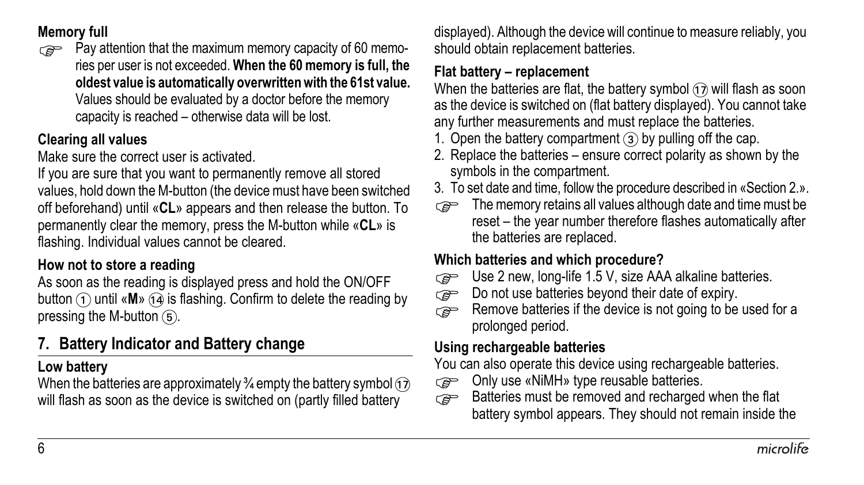#### **Memory full**

Pay attention that the maximum memory capacity of 60 memories per user is not exceeded. **When the 60 memory is full, the oldest value is automatically overwritten with the 61st value.** Values should be evaluated by a doctor before the memory capacity is reached – otherwise data will be lost.

#### **Clearing all values**

Make sure the correct user is activated.

If you are sure that you want to permanently remove all stored values, hold down the M-button (the device must have been switched off beforehand) until «**CL**» appears and then release the button. To permanently clear the memory, press the M-button while «**CL**» is flashing. Individual values cannot be cleared.

### **How not to store a reading**

As soon as the reading is displayed press and hold the ON/OFF button  $(1)$  until «**M**»  $(1)$  is flashing. Confirm to delete the reading by pressing the M-button  $(5)$ .

# **7. Battery Indicator and Battery change**

#### **Low battery**

When the batteries are approximately  $\frac{3}{4}$  empty the battery symbol  $\overline{(1)}$ will flash as soon as the device is switched on (partly filled battery

displayed). Although the device will continue to measure reliably, you should obtain replacement batteries.

#### **Flat battery – replacement**

When the batteries are flat, the battery symbol  $\widehat{D}$  will flash as soon as the device is switched on (flat battery displayed). You cannot take any further measurements and must replace the batteries.

- 1. Open the battery compartment  $(3)$  by pulling off the cap.
- 2. Replace the batteries ensure correct polarity as shown by the symbols in the compartment.
- 3. To set date and time, follow the procedure described in «Section [2.»](#page-5-0).
- The memory retains all values although date and time must be reset – the year number therefore flashes automatically after the batteries are replaced.

#### **Which batteries and which procedure?**

- Use 2 new, long-life 1.5 V, size AAA alkaline batteries.<br>
Do not use batteries bevond their date of expiry.
- $\overline{Q}$  Do not use batteries beyond their date of expiry.
- Remove batteries if the device is not going to be used for a<br>prolonged period prolonged period.

#### **Using rechargeable batteries**

You can also operate this device using rechargeable batteries.

- Only use «NiMH» type reusable batteries.<br>
Batteries must be removed and recharged
- Batteries must be removed and recharged when the flat battery symbol appears. They should not remain inside the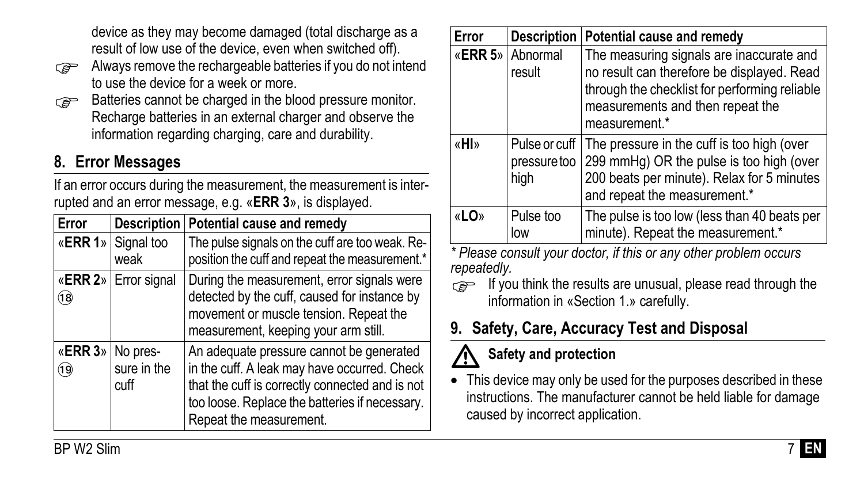device as they may become damaged (total discharge as a result of low use of the device, even when switched off).

- Always remove the rechargeable batteries if you do not intend to use the device for a week or more.
- Batteries cannot be charged in the blood pressure monitor. Recharge batteries in an external charger and observe the information regarding charging, care and durability.

# **8. Error Messages**

If an error occurs during the measurement, the measurement is interrupted and an error message, e.g. «**ERR 3**», is displayed.

| Error                    | <b>Description</b>         | Potential cause and remedy                                                                                                                                                                                               |
|--------------------------|----------------------------|--------------------------------------------------------------------------------------------------------------------------------------------------------------------------------------------------------------------------|
|                          | «ERR 1» Signal too<br>weak | The pulse signals on the cuff are too weak. Re-<br>position the cuff and repeat the measurement.*                                                                                                                        |
| 18)                      | «ERR 2» Error signal       | During the measurement, error signals were<br>detected by the cuff, caused for instance by<br>movement or muscle tension. Repeat the<br>measurement, keeping your arm still.                                             |
| «ERR 3» No pres-<br>(19) | sure in the<br>cuff        | An adequate pressure cannot be generated<br>in the cuff. A leak may have occurred. Check<br>that the cuff is correctly connected and is not<br>too loose. Replace the batteries if necessary.<br>Repeat the measurement. |

| Error | <b>Description</b>                    | Potential cause and remedy                                                                                                                                                                   |
|-------|---------------------------------------|----------------------------------------------------------------------------------------------------------------------------------------------------------------------------------------------|
|       | «ERR 5» Abnormal<br>result            | The measuring signals are inaccurate and<br>no result can therefore be displayed. Read<br>through the checklist for performing reliable<br>measurements and then repeat the<br>measurement.* |
| «HI»  | Pulse or cuff<br>pressure too<br>high | The pressure in the cuff is too high (over<br>299 mmHq) OR the pulse is too high (over<br>200 beats per minute). Relax for 5 minutes<br>and repeat the measurement.*                         |
| «LO»  | Pulse too<br>low                      | The pulse is too low (less than 40 beats per<br>minute). Repeat the measurement.*                                                                                                            |

*\* Please consult your doctor, if this or any other problem occurs repeatedly.*

If you think the results are unusual, please read through the information in «Section [1.»](#page-3-0) carefully.

# **9. Safety, Care, Accuracy Test and Disposal**

# **Safety and protection**

**1.** Safety and protection<br>• This device may only be used for the purposes described in these instructions. The manufacturer cannot be held liable for damage caused by incorrect application.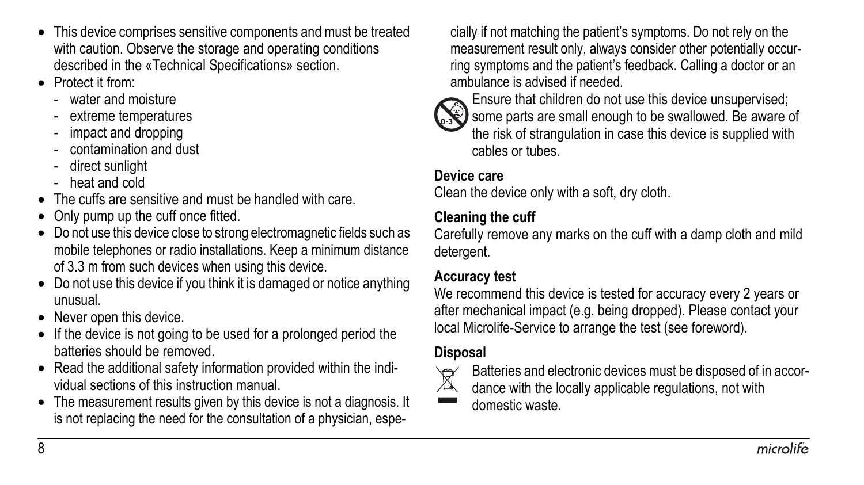- This device comprises sensitive components and must be treated with caution. Observe the storage and operating conditions described in the «Technical Specifications» section.
- Protect it from:
	- water and moisture
	- extreme temperatures
	- impact and dropping
	- contamination and dust
	- direct sunlight
	- heat and cold
- The cuffs are sensitive and must be handled with care.
- Only pump up the cuff once fitted.
- Do not use this device close to strong electromagnetic fields such as mobile telephones or radio installations. Keep a minimum distance of 3.3 m from such devices when using this device.
- Do not use this device if you think it is damaged or notice anything unusual.
- Never open this device.
- If the device is not going to be used for a prolonged period the batteries should be removed.
- Read the additional safety information provided within the individual sections of this instruction manual.
- The measurement results given by this device is not a diagnosis. It is not replacing the need for the consultation of a physician, espe-

cially if not matching the patient's symptoms. Do not rely on the measurement result only, always consider other potentially occurring symptoms and the patient's feedback. Calling a doctor or an ambulance is advised if needed.



Ensure that children do not use this device unsupervised; Some parts are small enough to be swallowed. Be aware of the risk of strangulation in case this device is supplied with cables or tubes.

#### **Device care**

Clean the device only with a soft, dry cloth.

#### **Cleaning the cuff**

Carefully remove any marks on the cuff with a damp cloth and mild detergent.

#### **Accuracy test**

We recommend this device is tested for accuracy every 2 years or after mechanical impact (e.g. being dropped). Please contact your local Microlife-Service to arrange the test (see foreword).

### **Disposal**



Batteries and electronic devices must be disposed of in accor-

dance with the locally applicable regulations, not with

domestic waste.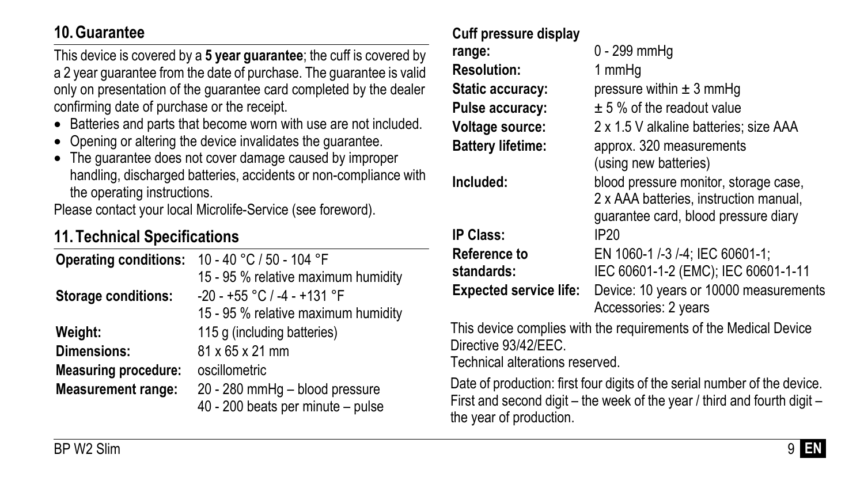## **10. Guarantee**

This device is covered by a **5 year guarantee**; the cuff is covered by a 2 year guarantee from the date of purchase. The guarantee is valid only on presentation of the guarantee card completed by the dealer confirming date of purchase or the receipt.

- Batteries and parts that become worn with use are not included.
- Opening or altering the device invalidates the guarantee.
- The guarantee does not cover damage caused by improper handling, discharged batteries, accidents or non-compliance with the operating instructions.

Please contact your local Microlife-Service (see foreword).

# **11. Technical Specifications**

| 10 - 40 °C / 50 - 104 °F                                            |
|---------------------------------------------------------------------|
| 15 - 95 % relative maximum humidity                                 |
| $-20 - +55$ °C / $-4 - +131$ °F                                     |
| 15 - 95 % relative maximum humidity                                 |
| 115 g (including batteries)                                         |
| 81 x 65 x 21 mm                                                     |
| oscillometric                                                       |
| 20 - 280 mmHg - blood pressure<br>40 - 200 beats per minute - pulse |
|                                                                     |

#### **Cuff pressure display**

| blood pressure monitor, storage case,                                         |
|-------------------------------------------------------------------------------|
|                                                                               |
| IEC 60601-1-2 (EMC); IEC 60601-1-11<br>Device: 10 years or 10000 measurements |
| 2 x AAA batteries, instruction manual,                                        |

This device complies with the requirements of the Medical Device Directive 93/42/EEC.

Technical alterations reserved.

Date of production: first four digits of the serial number of the device. First and second digit – the week of the year / third and fourth digit – the year of production.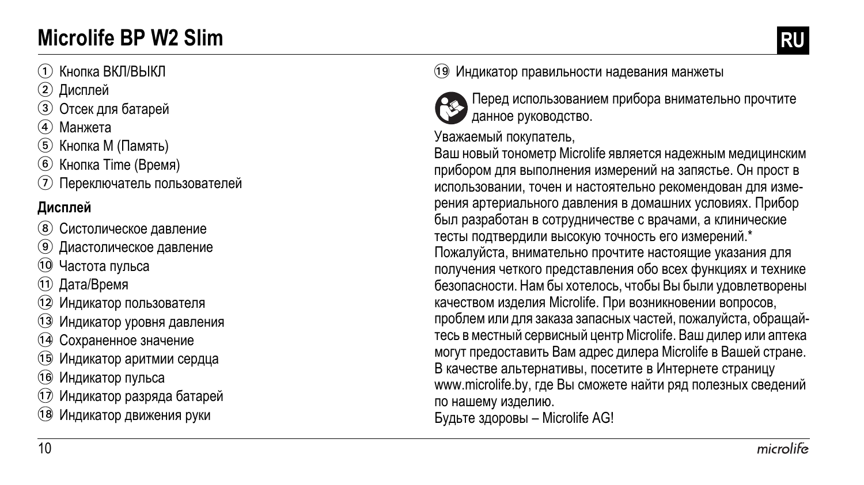# **Microlife BP W2 Slim RU**

# 1 Кнопка ВКЛ/ВЫКЛ

- 2 Дисплей
- 3 Отсек для батарей
- (4) Манжета
- 5 Кнопка M (Память)
- 6 Кнопка Time (Время)
- 7 Переключатель пользователей

# **Дисплей**

- 8 Систолическое давление
- 9 Диастолическое давление
- **(10 Частота пульса**
- **11** Дата/Время
- 12 Индикатор пользователя
- 13 Индикатор уровня давления
- 14 Сохраненное значение
- AO Индикатор аритмии сердца
- **16 Индикатор пульса**
- Индикатор разряда батарей
- 18 Индикатор движения руки

### 19 Индикатор правильности надевания манжеты



Перед использованием прибора внимательно прочтите данное руководство .

## Уважаемый покупатель ,

Ваш новый тонометр Microlife является надежным медицинским прибором для выполнения измерений на запястье. Он прост в использовании, точен и настоятельно рекомендован для изме рения артериального давления в домашних условиях. Прибор был разработан в сотрудничестве с врачами, а клинические тесты подтвердили высокую точность его измерений.\* Пожалуйста, внимательно прочтите настоящие указания для получения четкого представления обо всех функциях и технике безопасности. Нам бы хотелось, чтобы Вы были удовлетворены качеством изделия Microlife. При возникновении вопросов, проблем или для заказа запасных частей, пожалуйста, обращай тесь в местный сервисный центр Microlife. Ваш дилер или аптека могут предоставить Вам адрес дилера Microlife в Вашей стране. В качестве альтернативы, посетите в Интернете страницу www.microlife.by, где Вы сможете найти ряд полезных сведений по нашему изделию . Будьте здоровы – Microlife AG!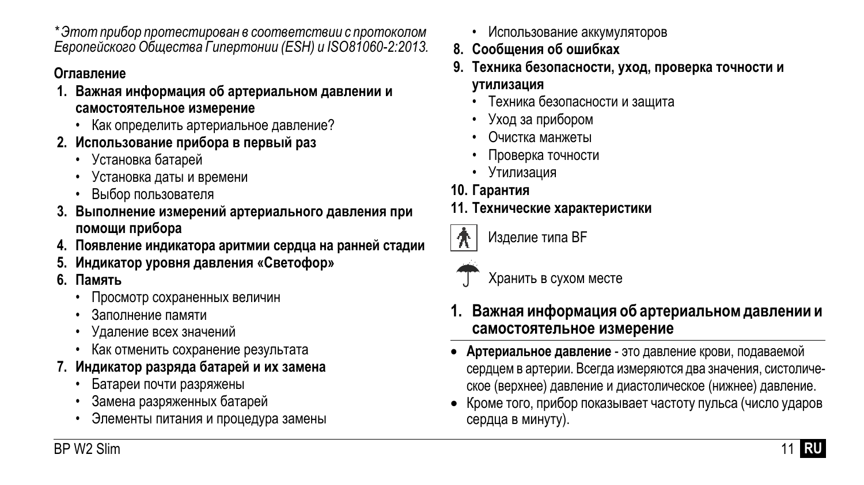*\* Этотприбор протестирован в соответствии с протоколом Европейского Общества Гипертонии (ESH) и ISO81060-2:2013.*

### **Оглавление**

- **1. Важная информация об артериальном давлении и самостоятельное измерение**
	- Как определить артериальное давление?
- **2. Использование прибора в первый раз**
	- Установка батарей
	- Установка даты и времени
	- Выбор пользователя
- **3. Выполнение измерений артериального давления при помощи прибора**
- **4. Появление индикатора аритмии сердца на ранней стадии**
- **5. Индикатор уровня давления «Светофор»**
- **6. Память**
	- Просмотр сохраненных величин
	- Заполнение памяти
	- Удаление всех значений
	- Как отменить сохранение результата
- **7. Индикатор разряда батарей и их замена**
	- Батареи почти разряжены
	- Замена разряженных батарей
	- Элементы питания и процедура замены
- Использование аккумуляторов
- **8. Сообщения об ошибках**
- **9. Техника безопасности, уход, проверка точности и утилизация**
	- Техника безопасности и защита
	- Уход за прибором
	- Очистка манжеты
	- Проверка точности
	- Утилизация
- **10. Гарантия**

### **11. Технические характеристики**



Изделие типа BF

Хранить в сухом месте

- **1. Важная информация об артериальном давлении и самостоятельное измерение**
- **Артериальное давление** это давление крови, подаваемой сердцем в артерии. Всегда измеряются два значения, систолическое (верхнее) давление и диастолическое (нижнее) давление.
- Кроме того, прибор показывает частоту пульса (число ударов сердца в минуту).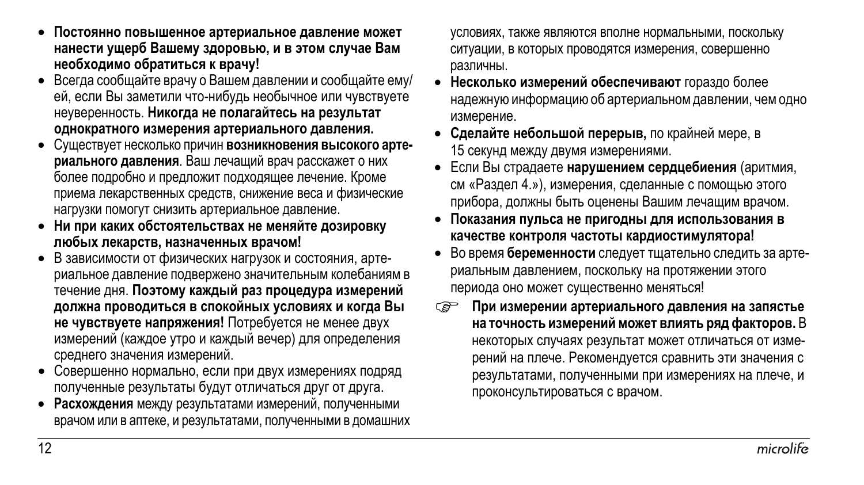- **Постоянно повышенное артериальное давление может нанести ущерб Вашему здоровью, и в этом случае Вам необходимо обратиться к врачу!**
- Всегда сообщайте врачу о Вашем давлении и сообщайте ему/ ей, если Вы заметили что-нибудь необычное или чувствуете неуверенность. **Никогда не полагайтесь на результат однократного измерения артериального давления.**
- Существует несколько причин **возникновения высокого артериального давления**. Ваш лечащий врач расскажет о них более подробно и предложит подходящее лечение. Кроме приема лекарственных средств, снижение веса и физические нагрузки помогут снизить артериальное давление.
- **Ни при каких обстоятельствах не меняйте дозировку любых лекарств, назначенных врачом!**
- В зависимости от физических нагрузок и состояния, артериальное давление подвержено знaчитeльным колебаниям в течение дня. **Поэтому каждый раз процедура измерений должна проводиться в спокойных условиях и когда Вы не чувствуете напряжения!** Потребуется не менее двух измерений (каждое утро и каждый вечер) для определения среднего значения измерений.
- Совершенно нормально, если при двух измерениях подряд полученные результаты будут отличаться друг от друга.
- **Расхождения** между результатами измерений, полученными врачом или в аптеке, и результатами, полученными в домашних

условиях, также являются вполне нормальными, поскольку ситуации, в которых проводятся измерения, совершенно различны.

- **Несколько измерений обеспечивают** гораздо более надежную информацию об артериальном давлении, чем одно измерение.
- **Сделайте небольшой перерыв,** по крайней мере, в 15 секунд между двумя измерениями.
- Если Вы страдаете **нарушением сердцебиения** (аритмия, см «Раздел 4.»), измерения, сделанные с помощью этого прибора, должны быть оценены Вашим лечащим врачом.
- **Показания пульса не пригодны для использования в качестве контроля частоты кардиостимулятора!**
- Во время **беременности** следуеттщательно следить за артериальным давлением, поскольку на протяжении этого периода оно может существенно меняться!
- **При измерении артериального давления на запястье на точность измерений может влиять ряд факторов.** В некоторых случаях результат может отличаться от измерений на плече. Рекомендуется сравнить эти значения с результатами, полученными при измерениях на плече, и проконсультироваться с врачом.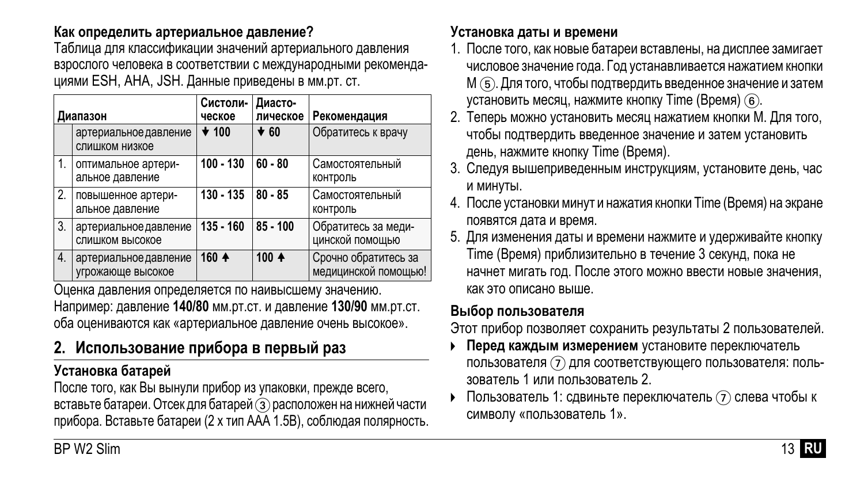#### **Как определить артериальное давление?**

Таблица для классификации значений артериального давления взрослого человека в соответствии с международными рекомендациями ESH, AHA, JSH. Данные приведены в мм.рт. ст.

| Диапазон |                                            | Систоли-<br>ческое | Диасто-<br>лическое | Рекомендация                                 |
|----------|--------------------------------------------|--------------------|---------------------|----------------------------------------------|
|          | артериальное давление<br>слишком низкое    | $\star$ 100        | $\star$ 60          | Обратитесь к врачу                           |
| 1.       | оптимальное артери-<br>альное давление     | 100 - 130          | $60 - 80$           | Самостоятельный<br>контроль                  |
| 2.       | повышенное артери-<br>альное давление      | 130 - 135          | $80 - 85$           | Самостоятельный<br>контроль                  |
| 3.       | артериальное давление<br>слишком высокое   | $135 - 160$        | 85 - 100            | Обратитесь за меди-<br>цинской помощью       |
| 4.       | артериальное давление<br>угрожающе высокое | 160 4              | 100 $+$             | Срочно обратитесь за<br>медицинской помощью! |

Оценка давления определяется по наивысшему значению. Например: давление **140/80** мм.рт.ст. и давление **130/90** мм.рт.ст. оба оцениваются как «артериальное давление очень высокое».

# **2. Использование прибора в первый раз**

### **Установка батарей**

После того, как Вы вынули прибор из упаковки, прежде всего, вставьте батареи. Отсек для батарей 3 расположен на нижней части прибора. Вставьте батареи (2 х тип AAA 1.5В), соблюдая полярность.

#### **Установка даты и времени**

- 1. После того, как новые батареи вставлены, на дисплее замигает числовое значение года. Год устанавливается нажатием кнопки M 5. Для того, чтобы подтвердить введенное значение и затем установить месяц, нажмите кнопку Time (Время) 6.
- 2. Теперь можно установить месяц нажатием кнопки M. Для того, чтобы подтвердить введенное значение и затем установить день, нажмите кнопку Time (Время).
- 3. Следуя вышеприведенным инструкциям, установите день, час и минуты.
- 4. После установки минут и нажатия кнопки Time (Время) на экране появятся дата и время.
- 5. Для изменения даты и времени нажмите и удерживайте кнопку Time (Время) приблизительно в течение 3 секунд, пока не начнет мигать год. После этого можно ввести новые значения, как это описано выше.

#### **Выбор пользователя**

Этот прибор позволяет сохранить результаты 2 пользователей.

- **Перед каждым измерением** установите переключатель пользователя  $(7)$  для соответствующего пользователя: пользователь 1 или пользователь 2.
- $\triangleright$  Пользователь 1: сдвиньте переключатель  $\widehat{I}$  слева чтобы к символу «пользователь 1».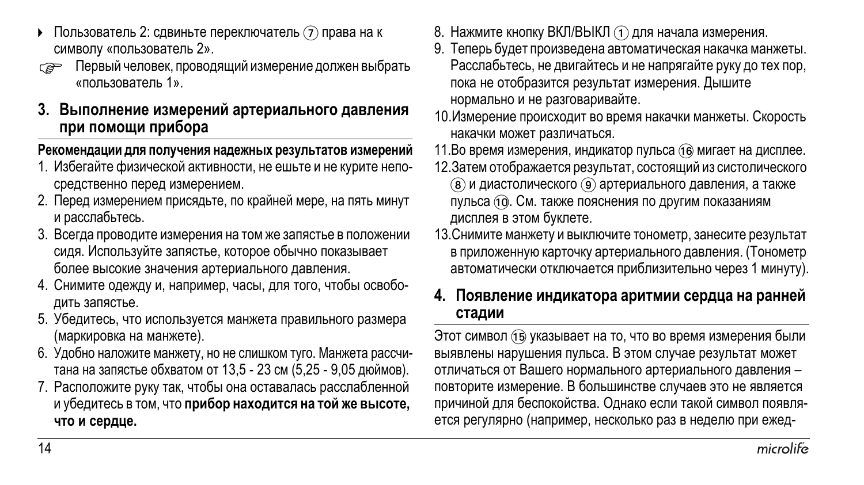- Пользователь 2: сдвиньте переключатель  $(7)$  права на к символу «пользователь 2».
- Первый человек, проводящий измерение должен выбрать «пользователь 1».

#### **3. Выполнение измерений артериального давления при помощи прибора**

#### **Рекомендации для получения надежных результатов измерений**

- 1. Избегайте физической активности, не ешьте и не курите непосредственно перед измерением.
- 2. Перед измерением присядьте, по крайней мере, на пять минут и расслабьтесь.
- 3. Всегда проводите измерения на том же запястье в положении сидя. Используйте запястье, которое обычно показывает более высокие значения артериального давления.
- 4. Снимите одежду и, например, часы, для того, чтобы освободить запястье.
- 5. Убедитесь, что используется манжета правильного размера (маркировка на манжете).
- 6. Удобно наложите манжету, но не слишком туго. Манжета рассчитана на запястье обхватом от 13,5 - 23 см (5,25 - 9,05 дюймов).
- 7. Расположите руку так, чтобы она оставалась расслабленной и убедитесь в том, что **прибор находится на той же высоте, что и сердце.**
- 8. Нажмите кнопку ВКЛ/ВЫКЛ (1) для начала измерения.
- 9. Теперь будет произведена автоматическая накачка манжеты. Расслабьтесь, не двигайтесь и не напрягайте руку до тех пор, пока не отобразится результат измерения. Дышите нормально и не разговаривайте.
- 10.Измерение происходит во время накачки манжеты. Скорость накачки может различаться.
- 11.Во время измерения, индикатор пульса (16 мигает на дисплее.
- 12.Затем отображается результат, состоящий из систолического
	- 8 и диастолического 9 артериального давления, а также пульса (10. См. также пояснения по другим показаниям дисплея в этом буклете.
- 13.Снимите манжету и выключите тонометр, занесите результат в приложенную карточку артериального давления. (Тонометр автоматически отключается приблизительно через 1 минуту).

#### **4. Появление индикатора аритмии сердца на ранней стадии**

Этот символ (16) указывает на то, что во время измерения были выявлены нарушения пульса. В этом случае результат может отличаться от Вашего нормального артериального давления – повторите измерение. В большинстве случаев это не является причиной для беспокойства. Однако если такой символ появляется регулярно (например, несколько раз в неделю при ежед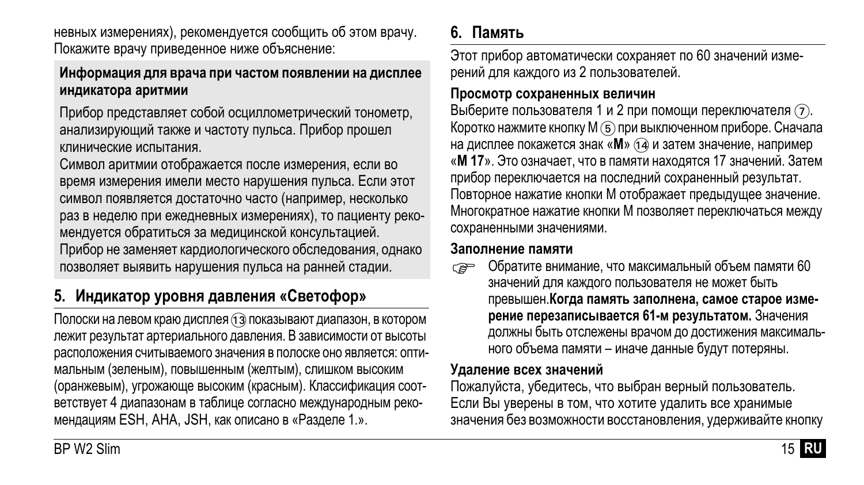невных измерениях), рекомендуется сообщить об этом врачу. Покажите врачу приведенное ниже объяснение:

#### **Информация для врача при частом появлении на дисплее индикатора аритмии**

Прибор представляет собой осциллометрический тонометр, анализирующий также и частоту пульса. Прибор прошел клинические испытания.

Символ аритмии отображается после измерения, если во время измерения имели место нарушения пульса. Если этот символ появляется достаточно часто (например, несколько раз в неделю при ежедневных измерениях), то пациенту рекомендуется обратиться за медицинской консультацией. Прибор не заменяет кардиологического обследования, однако позволяет выявить нарушения пульса на ранней стадии.

# **5. Индикатор уровня давления «Светофор»**

Полоски на левом краю дисплея (13) показывают диапазон, в котором лежит результат артериального давления. В зависимости от высоты расположения считываемого значения в полоске оно является: оптимальным (зеленым), повышенным (желтым), слишком высоким (оранжевым), угрожающе высоким (красным). Классификация соответствует 4 диапазонам в таблице согласно международным рекомендациям ESH, AHA, JSH, как описано в «Разделе 1.».

# **6. Память**

Этот прибор автоматически сохраняет по 60 значений измерений для каждого из 2 пользователей.

#### **Просмотр сохраненных величин**

Выберите пользователя 1 и 2 при помощи переключателя  $(7)$ . Коротко нажмите кнопку М (5) при выключенном приборе. Сначала на дисплее покажется знак «М» (14 и затем значение, например «**M 17**». Это означает, что в памяти находятся 17 значений. Затем прибор переключается на последний сохраненный результат. Повторное нажатие кнопки M отображает предыдущее значение. Многократное нажатие кнопки M позволяет переключаться между сохраненными значениями.

#### **Заполнение памяти**

Обратите внимание, что максимальный объем памяти 60 значений для каждого пользователя не может быть превышен.**Когда память заполнена, самое старое измерение перезаписывается 61-м результатом.** Значения должны быть отслежены врачом до достижения максимального объема памяти – иначе данные будут потеряны.

#### **Удаление всех значений**

Пожалуйста, убедитесь, что выбран верный пользователь. Если Вы уверены в том, что хотите удалить все хранимые значения без возможности восстановления, удерживайте кнопку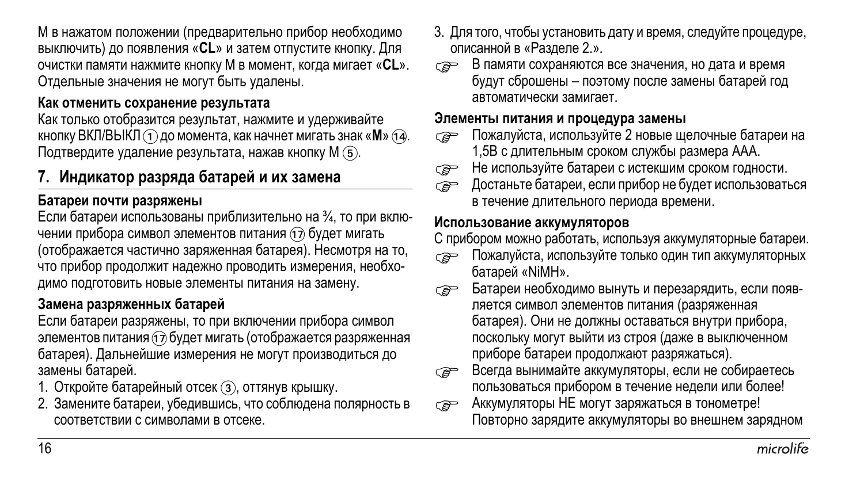M в нажатом положении (предварительно прибор необходимо выключить) до появления «**CL**» и затем отпустите кнопку. Для очистки памяти нажмите кнопку M в момент, когда мигает «**CL**». Отдельные значения не могут быть удалены.

#### **Как отменить сохранение результата**

Как только отобразится результат, нажмите и удерживайте кнопку ВКЛ/ВЫКЛ (1) до момента, как начнет мигать знак «**M**» (14). Подтвердите удаление результата, нажав кнопку М (5).

### **7. Индикатор разряда батарей и их замена**

#### **Батареи почти разряжены**

Если батареи использованы приблизительно на ¾, то при включении прибора символ элементов питания (17) будет мигать (отображается частично заряженная батарея). Несмотря на то, что прибор продолжит надежно проводить измерения, необходимо подготовить новые элементы питания на замену.

#### **Замена разряженных батарей**

Если батареи разряжены, то при включении прибора символ элементов питания (1) будет мигать (отображается разряженная батарея). Дальнейшие измерения не могут производиться до замены батарей.

- 1. Откройте батарейный отсек (3), оттянув крышку.
- 2. Замените батареи, убедившись, что соблюдена полярность в соответствии с символами в отсеке.
- 3. Для того, чтобы установить дату и время, следуйте процедуре, описанной в «Разделе 2.».
- **В памяти сохраняются все значения, но дата и время** будут сброшены – поэтому после замены батарей год автоматически замигает.

#### **Элементы питания и процедура замены**

- Пожалуйста, используйте 2 новые щелочные батареи на 1,5В с длительным сроком службы размера AAA.
- $\epsilon \widehat{\hspace{1cm}}$  Не используйте батареи с истекшим сроком годности.<br> $\epsilon \widehat{\hspace{1cm}}$  Достаньте батареи. если прибор не будет использовать
- <sup>Д</sup>ocтaньте батареи, если прибор не будет использоваться в течение длительного периода времени.

#### **Использование аккумуляторов**

С прибором можно работать, используя аккумуляторные батареи.

- **Пожалуйста, используйте только один тип аккумуляторных** батарей «NiMH».
- Батареи необходимо вынуть <sup>и</sup> перезарядить, если появляется символ элементов питания (разряженная батарея). Они не должны оставаться внутри прибора, поскольку могут выйти из строя (даже в выключенном приборе батареи продолжают разряжаться).
- **Всегда вынимайте аккумуляторы, если не собираетесь** пользоваться прибором в течение недели или более!
- **АККУМУЛЯТОРЫ НЕ могут заряжаться в тонометре!** Повторно зарядите аккумуляторы во внешнем зарядном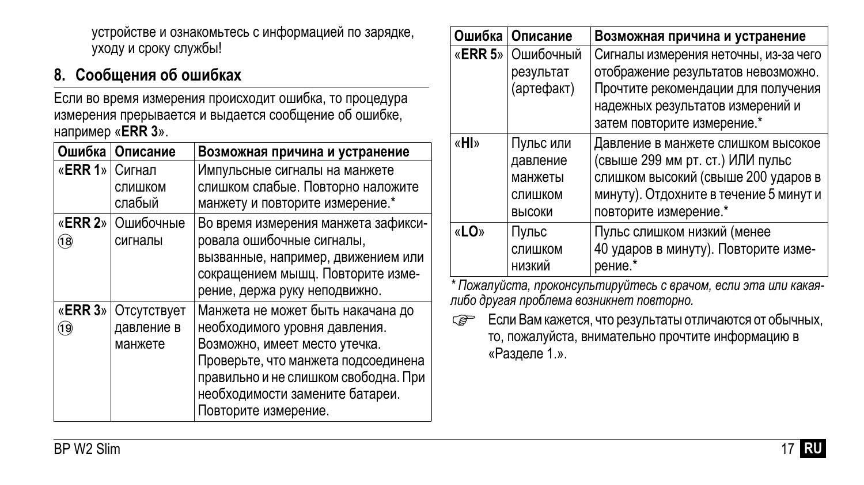устройстве и ознакомьтесь с информацией по зарядке, уходу и сроку службы!

# **8. Сообщения об ошибках**

Если во время измерения происходит ошибка, то процедура измерения прерывается и выдается сообщение об ошибке, например «**ERR 3**».

| Ошибка          | Описание                             | Возможная причина и устранение                                                                                                                                                                                                                |
|-----------------|--------------------------------------|-----------------------------------------------------------------------------------------------------------------------------------------------------------------------------------------------------------------------------------------------|
| «ERR 1» Сигнал  | СЛИШКОМ<br>слабый                    | Импульсные сигналы на манжете<br>слишком слабые. Повторно наложите<br>манжету и повторите измерение.*                                                                                                                                         |
| (18)            | «ERR 2» Ошибочные<br>сигналы         | Во время измерения манжета зафикси-<br>ровала ошибочные сигналы,<br>вызванные, например, движением или<br>сокращением мышц. Повторите изме-<br>рение, держа руку неподвижно.                                                                  |
| «ERR 3»<br>(19) | Отсутствует<br>давление в<br>манжете | Манжета не может быть накачана до<br>необходимого уровня давления.<br>Возможно, имеет место утечка.<br>Проверьте, что манжета подсоединена<br>правильно и не слишком свободна. При<br>необходимости замените батареи.<br>Повторите измерение. |

| Ошибочный<br>результат<br>(артефакт)<br>Пульс или<br>давление | Сигналы измерения неточны, из-за чего<br>отображение результатов невозможно.<br>Прочтите рекомендации для получения<br>надежных результатов измерений и<br>затем повторите измерение.*<br>Давление в манжете слишком высокое<br>(свыше 299 мм рт. ст.) ИЛИ пульс |
|---------------------------------------------------------------|------------------------------------------------------------------------------------------------------------------------------------------------------------------------------------------------------------------------------------------------------------------|
|                                                               |                                                                                                                                                                                                                                                                  |
|                                                               |                                                                                                                                                                                                                                                                  |
|                                                               |                                                                                                                                                                                                                                                                  |
|                                                               |                                                                                                                                                                                                                                                                  |
|                                                               |                                                                                                                                                                                                                                                                  |
|                                                               |                                                                                                                                                                                                                                                                  |
|                                                               |                                                                                                                                                                                                                                                                  |
| манжеты                                                       | слишком высокий (свыше 200 ударов в                                                                                                                                                                                                                              |
| СЛИШКОМ                                                       | минуту). Отдохните в течение 5 минут и                                                                                                                                                                                                                           |
| высоки                                                        | повторите измерение.*                                                                                                                                                                                                                                            |
| Пульс                                                         | Пульс слишком низкий (менее                                                                                                                                                                                                                                      |
| СЛИШКОМ                                                       | 40 ударов в минуту). Повторите изме-                                                                                                                                                                                                                             |
| низкий                                                        | рение.*                                                                                                                                                                                                                                                          |
|                                                               | * Пожалуйста, проконсультируйтесь с врачом, если эта или какая-                                                                                                                                                                                                  |

С Если Вам кажется, что результаты отличаются от обычных, то, пожалуйста, внимательно прочтите информацию в «Разделе 1.».

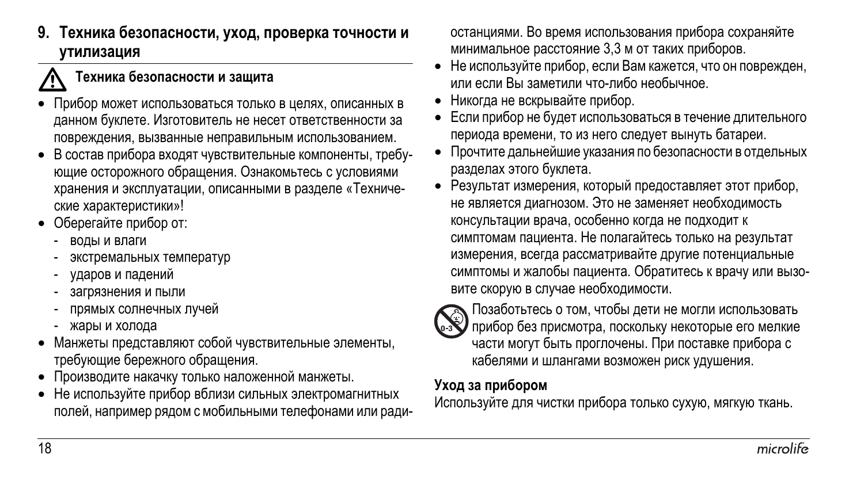**9. Техника безопасности, уход, проверка точности и утилизация**

#### $\vec{\mathbb{V}}$ **Техника безопасности <sup>и</sup> защита**

- Прибор может использоваться только в целях, описанных в данном буклете. Изготовитель не несет ответственности за повреждения, вызванные неправильным использованием.
- В состав прибора входят чувствительные компоненты, требующие осторожного обращения. Ознакомьтесь с условиями хранения и эксплуатации, описанными в разделе «Технические характеристики»!
- Оберегайте прибор от:
	- воды и влаги
	- экстремальных температур
	- ударов и падений
	- загрязнения и пыли
	- прямых солнечных лучей
	- жары и холода
- Манжеты представляют собой чувствительные элементы, требующие бережного обращения.
- Производите накачку только наложенной манжеты.
- Не используйте прибор вблизи сильных электромагнитных полей, например рядом с мобильными телефонами или ради-

останциями. Во время использования прибора сохраняйте минимальное расстояние 3,3 м от таких приборов.

- Не используйте прибор, если Вам кажется, что он поврежден, или если Вы заметили что-либо необычное.
- Никогда не вскрывайте прибор.
- Если прибор не будет использоваться в течение длительного периода времени, то из него следует вынуть батареи.
- Прочтите дальнейшие указания по безопасности в отдельных разделах этого буклета.
- Результат измерения, который предоставляет этот прибор, не является диагнозом. Это не заменяет необходимость консультации врача, особенно когда не подходит к симптомам пациента. Не полагайтесь только на результат измерения, всегда рассматривайте другие потенциальные симптомы и жалобы пациента. Обратитесь к врачу или вызовите скорую в случае необходимости.



Позаботьтесь о том, чтобы дети не могли использовать прибор без присмотра, поскольку некоторые его мелкие части могут быть проглочены. При поставке прибора с кабелями и шлангами возможен риск удушения.

#### **Уход за прибором**

Используйте для чистки прибора только сухую, мягкую ткань.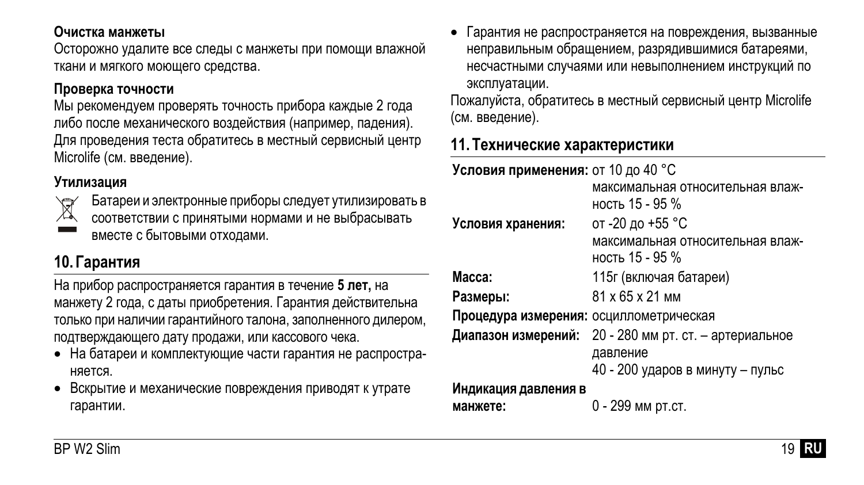#### **Очистка манжеты**

Осторожно удалите все следы с манжеты при помощи влажной ткани и мягкого моющего средства.

#### **Проверка точности**

Мы рекомендуем проверять точность прибора каждые 2 года либо после механического воздействия (например, падения). Для проведения теста обратитесь в местный сервисный центр Microlife (см. введение).

#### **Утилизация**



Батареи и электронные приборы следует утилизировать в

соответствии с принятыми нормами и не выбрасывать вместе с бытовыми отходами.

# **10.Гарантия**

На прибор распространяется гарантия в течение **5 лет,** на манжету 2 года, с даты приобретения. Гарантия действительна только при наличии гарантийного талона, заполненного дилером, подтверждающего дату продажи, или кассового чека.

- На батареи и комплектующие части гарантия не распространяется.
- Вскрытие и механические повреждения приводят к утрате гарантии.

• Гарантия не распространяется на повреждения, вызванные неправильным обращением, разрядившимися батареями, несчастными случаями или невыполнением инструкций по эксплуатации.

Пожалуйста, обратитесь в местный сервисный центр Microlife (см. введение).

### **11. Технические характеристики**

| Условия применения: от 10 до 40 °С      |                                                        |
|-----------------------------------------|--------------------------------------------------------|
|                                         | максимальная относительная влаж-                       |
|                                         | ность 15 - 95 %                                        |
| Условия хранения:                       | от -20 до +55 °C                                       |
|                                         | максимальная относительная влаж-                       |
|                                         | ность 15 - 95 %                                        |
| Macca:                                  | 115г (включая батареи)                                 |
| Размеры:                                | 81 x 65 x 21 MM                                        |
| Процедура измерения: осциллометрическая |                                                        |
|                                         | Диапазон измерений: 20 - 280 мм рт. ст. - артериальное |
|                                         | давление                                               |
|                                         | 40 - 200 ударов в минуту - пульс                       |
| Индикация давления в                    |                                                        |
| манжете:                                | 0 - 299 мм рт.ст.                                      |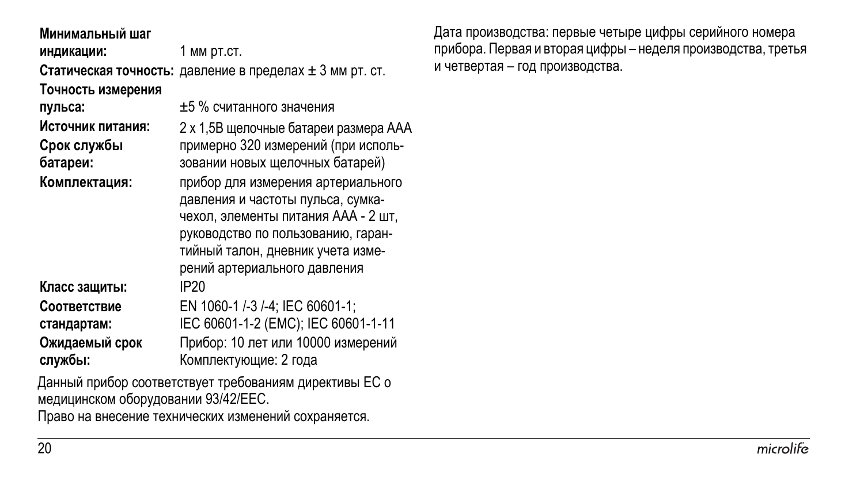**Минимальный шаг**

**индикации:** 1 мм рт.ст.

**Статическая точность:** давление в пределах ± 3 мм рт. ст.

**Точность измерения**

**Срок службы батареи:**

**стандартам:**

**службы:**

**пульса:** ±5 % считанного значения **Источник питания:** 2 x 1,5В щелочные батареи размера AAA примерно 320 измерений (при исполь-

зовании новых щелочных батарей) **Комплектация:** прибор для измерения артериального давления и частоты пульса, сумка-

чехол, элементы питания AAA - 2 шт, руководство по пользованию, гарантийный талон, дневник учета измерений артериального давления

**Класс защиты:** IP20 **Соответствие**

EN 1060-1 /-3 /-4; IEC 60601-1; IEC 60601-1-2 (EMC); IEC 60601-1-11 **Ожидаемый срок** Прибор: 10 лет или 10000 измерений Комплектующие: 2 года

Данный прибор соответствует требованиям директивы ЕС о медицинском оборудовании 93/42/EEC.

Право на внесение технических изменений сохраняется.

Дата производства: первые четыре цифры серийного номера прибора. Первая и вторая цифры – неделя производства, третья и четвертая – год производства.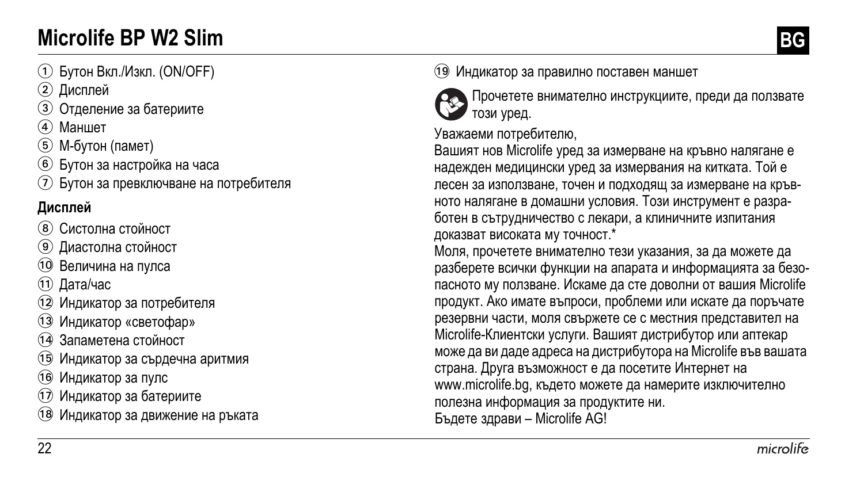# **Microlife BP W2 Slim BG**

- 1 Бутон Вкл./Изкл. (ON/OFF)
- 2 Дисплей
- 3 Отделение за батериите
- (4) Маншет
- 5 М-бутон (памет)
- 6 Бутон за настройка на часа
- 7 Бутон за превключване на потребителя

# **Дисплей**

- 8 Систолна стойност
- 9 Диастолна стойност
- AT Величина на пулса
- (11) Дата/час
- 12 Индикатор за потребителя
- 13 Индикатор «светофар»
- **14 Запаметена стойност**
- AO Индикатор за сърдечна аритмия
- 16 Индикатор за пулс
- Индикатор за батериите
- Индикатор за движение на ръката

19 Индикатор за правилно поставен маншет



Прочетете внимателно инструкциите, преди да ползвате този уред.

Уважаеми потребителю,

Вашият нов Microlife уред за измерване на кръвно налягане е надежден медицински уред за измервания на китката. Той е лесен за използване, точен и подходящ за измерване на кръвното налягане в домашни условия. Този инструмент е разработен в сътрудничество с лекари, а клиничните изпитания доказват високата му точност.\*

Моля, прочетете внимателно тези указания, за да можете да разберете всички функции на апарата и информацията за безопасното му ползване. Искаме да сте доволни от вашия Microlife продукт. Ако имате въпроси, проблеми или искате да поръчате резервни части, моля свържете се с местния представител на Microlife-Клиентски услуги. Вашият дистрибутор или аптекар може да ви даде адреса на дистрибутора на Microlife във вашата страна. Друга възможност е да посетите Интернет на www.microlife.bg, където можете да намерите изключително полезна информация за продуктите ни. Бъдете здрави – Microlife AG!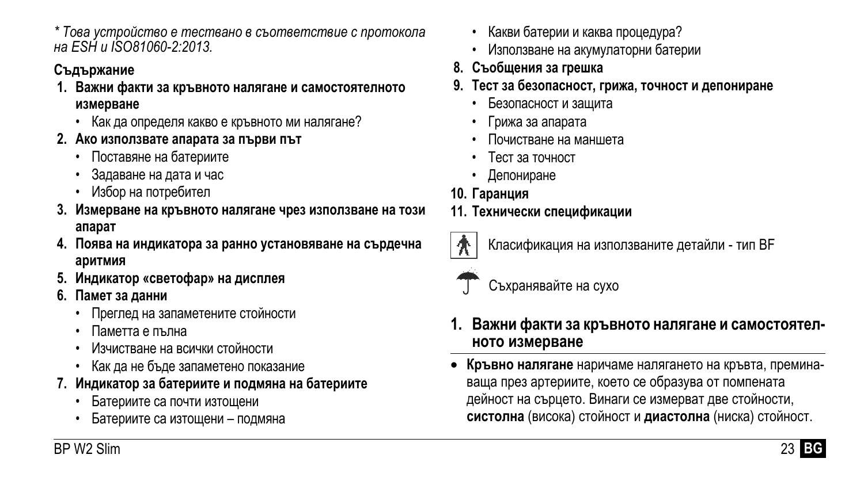# **Съдържание**

- **1. Важни факти за кръвното налягане и самостоятелното измерване**
	- Как да определя какво е кръвното ми налягане?
- **2. Ако използвате апарата за първи път**
	- Поставяне на батериите
	- Задаване на дата и час
	- Избор на потребител
- **3. Измерване на кръвното налягане чрез използване на този апарат**
- **4. Поява на индикатора за ранно установяване на сърдечна аритмия**
- **5. Индикатор «светофар» на дисплея**
- **6. Памет за данни**
	- Преглед на запаметените стойности
	- Паметта е пълна
	- Изчистване на всички стойности
	- Как да не бъде запаметено показание
- **7. Индикатор за батериите и подмяна на батериите**
	- Батериите са почти изтощени
	- Батериите са изтощени подмяна
- Какви батерии и каква процедура?
- Използване на акумулаторни батерии
- **8. Съобщения за грешка**
- **9. Тест за безопасност, грижа, точност и депониране**
	- Безопасност и защита
	- Грижа за апарата
	- Почистване на маншета
	- Тест за точност
	- Депониране
- **10. Гаранция**
- **11. Технически спецификации**



Класификация на използваните детайли - тип BF



Съхранявайте на сухо

- **1. Важни факти за кръвното налягане <sup>и</sup> самостоятел- ното измерване**
- **Кръвно налягане** наричаме налягането на кръвта, преминаваща през артериите, което се образува от помпената дейност на сърцето. Винаги се измерват две стойности, **систолна** (висока) стойност и **диастолна** (ниска) стойност.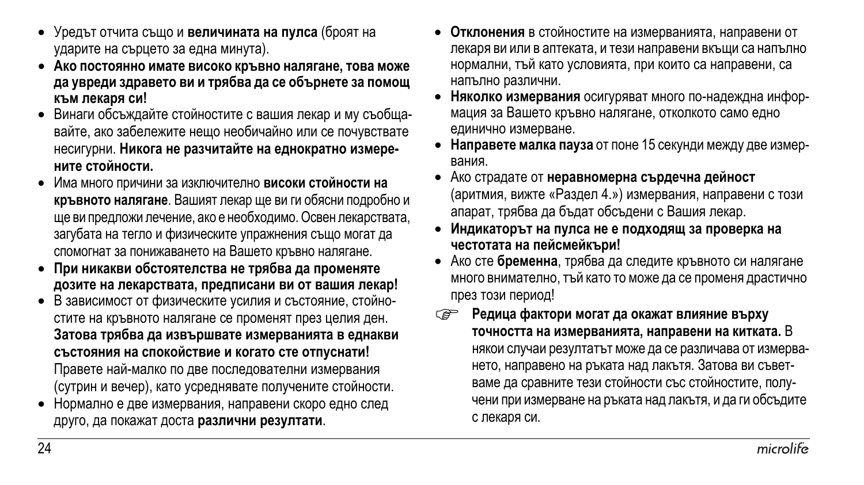- Уредът отчита също и **величината на пулса** (броят на ударите на сърцето за една минута).
- **Ако постоянно имате високо кръвно налягане, това може да увреди здравето ви и трябва да се обърнете за помощ към лекаря си!**
- Винаги обсъждайте стойностите с вашия лекар и му съобщавайте, ако забележите нещо необичайно или се почувствате несигурни. **Никога не разчитайте на еднократно измерените стойности.**
- Има много причини за изключително **високи стойности на кръвното налягане**. Вашият лекар ще ви ги обясни подробно и ще ви предложи лечение, ако е необходимо. Освен лекарствата, загубата на тегло и физическите упражнения също могат да спомогнат за понижаването на Вашето кръвно налягане.
- **При никакви обстоятелства не трябва да променяте дозите на лекарствата, предписани ви от вашия лекар!**
- В зависимост от физическите усилия и състояние, стойностите на кръвното налягане се променят през целия ден. **Затова трябва да извършвате измерванията в еднакви състояния на спокойствие и когато сте отпуснати!** Правете най-малко по две последователни измервания (сутрин и вечер), като усреднявате получените стойности.
- Нормално е две измервания, направени скоро едно след друго, да покажат доста **различни резултати**.
- **Отклонения** в стойностите на измерванията, направени от лекаря ви или в аптеката, и тези направени вкъщи са напълно нормални, тъй като условията, при които са направени, са напълно различни.
- **Няколко измервания** осигуряват много по-надеждна информация за Вашето кръвно налягане, отколкото само едно единично измерване.
- **Направете малка пауза** от поне 15 секунди между две измервания.
- Ако страдате от **неравномерна сърдечна дейност** (аритмия, вижте «Раздел 4.») измервания, направени с този апарат, трябва да бъдат обсъдени с Вашия лекар.
- **Индикаторът на пулса не е подходящ за проверка на честотата на пейсмейкъри!**
- Ако сте **бременна**, трябва да следите кръвното си налягане много внимателно, тъй като то може да се променя драстично през този период!
- **Редица фактори могат да окажат влияние върху точността на измерванията, направени на китката.** В някои случаи резултатът може да се различава от измерването, направено на ръката над лакътя. Затова ви съветваме да сравните тези стойности със стойностите, получени при измерване на ръката над лакътя, и да ги обсъдите с лекаря си.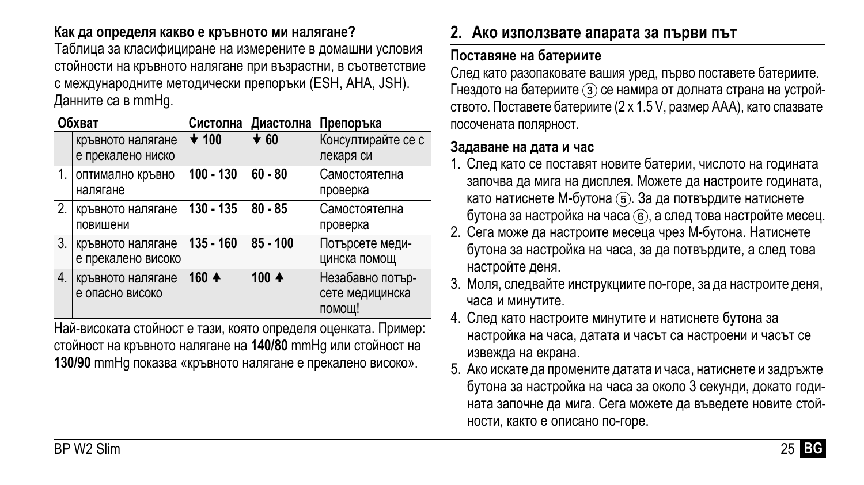### **Как да определя какво е кръвното ми налягане?**

Таблица за класифициране на измерените в домашни условия стойности на кръвното налягане при възрастни, в съответствие с международните методически препоръки (ESH, AHA, JSH). Данните са в mmHg.

| Обхват           |                                         |             | Систолна Диастолна<br>Препоръка |                                               |
|------------------|-----------------------------------------|-------------|---------------------------------|-----------------------------------------------|
|                  | кръвното налягане<br>е прекалено ниско  | $\star$ 100 | $\star$ 60                      | Консултирайте се с<br>лекаря си               |
| $\mathbf{1}$ .   | оптимално кръвно<br>налягане            | $100 - 130$ | $60 - 80$                       | Самостоятелна<br>проверка                     |
| 2.               | кръвното налягане<br>повишени           | 130 - 135   | $80 - 85$                       | Самостоятелна<br>проверка                     |
| 3.               | кръвното налягане<br>е прекалено високо | $135 - 160$ | $85 - 100$                      | Потърсете меди-<br>цинска помощ               |
| $\overline{4}$ . | кръвното налягане<br>е опасно високо    | 160 4       | 100 $+$                         | Незабавно потър-<br>сете медицинска<br>помош! |

Най-високата стойност е тази, която определя оценката. Пример: стойност на кръвното налягане на **140/80** mmHg или стойност на **130/90** mmHg показва «кръвното налягане е прекалено високо».

# **2. Ако използвате апарата за първи път**

### **Поставяне на батериите**

След като разопаковате вашия уред, първо поставете батериите. Гнездото на батериите (3) се намира от долната страна на устройството. Поставете батериите (2 x 1.5 V, размер AAA), като спазвате посочената полярност.

#### **Задаване на дата и час**

- 1. След като се поставят новите батерии, числото на годината започва да мига на дисплея. Можете да настроите годината, като натиснете М-бутона (5). За да потвърдите натиснете бутона за настройка на часа 6, а след това настройте месец.
- 2. Сега може да настроите месеца чрез М-бутона. Натиснете бутона за настройка на часа, за да потвърдите, а след това настройте деня.
- 3. Моля, следвайте инструкциите по-горе, за да настроите деня, часа и минутите.
- 4. След като настроите минутите и натиснете бутона за настройка на часа, датата и часът са настроени и часът се извежда на екрана.
- 5. Ако искате да промените датата и часа, натиснете и задръжте бутона за настройка на часа за около 3 секунди, докато годината започне да мига. Сега можете да въведете новите стойности, както е описано по-горе.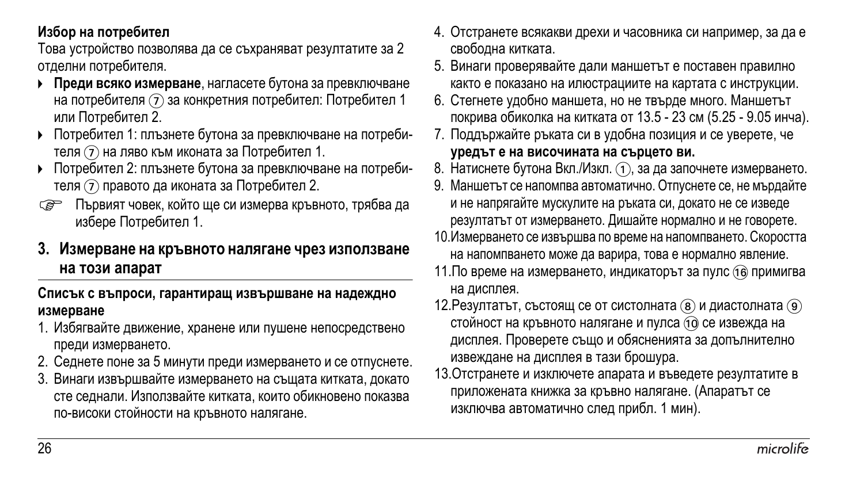#### **Избор на потребител**

Това устройство позволява да се съхраняват резултатите за 2 отделни потребителя.

- **Преди всяко измерване**, нагласете бутона за превключване на потребителя  $(7)$  за конкретния потребител: Потребител 1 или Потребител 2.
- Потребител 1: плъзнете бутона за превключване на потребителя 7 на ляво към иконата за Потребител 1.
- Потребител 2: плъзнете бутона за превключване на потребителя 7 правото да иконата за Потребител 2.
- Първият човек, който ще си измерва кръвното, трябва да избере Потребител 1.

#### **3. Измерване на кръвното налягане чрез използване на този апарат**

#### **Списък с въпроси, гарантиращ извършване на надеждно измерване**

- 1. Избягвайте движение, хранене или пушене непосредствено преди измерването.
- 2. Седнете поне за 5 минути преди измерването и се отпуснете.
- 3. Винаги извършвайте измерването на същата китката, докато сте седнали. Използвайте китката, които обикновено показва по-високи стойности на кръвното налягане.
- 4. Отстранете всякакви дрехи и часовника си например, за да е свободна китката.
- 5. Винаги проверявайте дали маншетът е поставен правилно както е показано на илюстрациите на картата с инструкции.
- 6. Стегнете удобно маншета, но не твърде много. Маншетът покрива обиколка на китката от 13.5 - 23 см (5.25 - 9.05 инча).
- 7. Поддържайте ръката си в удобна позиция и се уверете, че **уредът е на височината на сърцето ви.**
- 8. Натиснете бутона Вкл. / Изкл. (1), за да започнете измерването.
- 9. Маншетът се напомпва автоматично. Отпуснете се, не мърдайте и не напрягайте мускулите на ръката си, докато не се изведе резултатът от измерването. Дишайте нормално и не говорете.
- 10.Измерването се извършва по време на напомпването. Скоростта на напомпването може да варира, това е нормално явление.
- 11. По време на измерването, индикаторът за пулс (16 примигва на дисплея.
- 12. Резултатът, състоящ се от систолната (8) и диастолната (9) стойност на кръвното налягане и пулса (10 се извежда на дисплея. Проверете също и обясненията за допълнително извеждане на дисплея в тази брошура.
- 13.Отстранете и изключете апарата и въведете резултатите в приложената книжка за кръвно налягане. (Апаратът се изключва автоматично след прибл. 1 мин).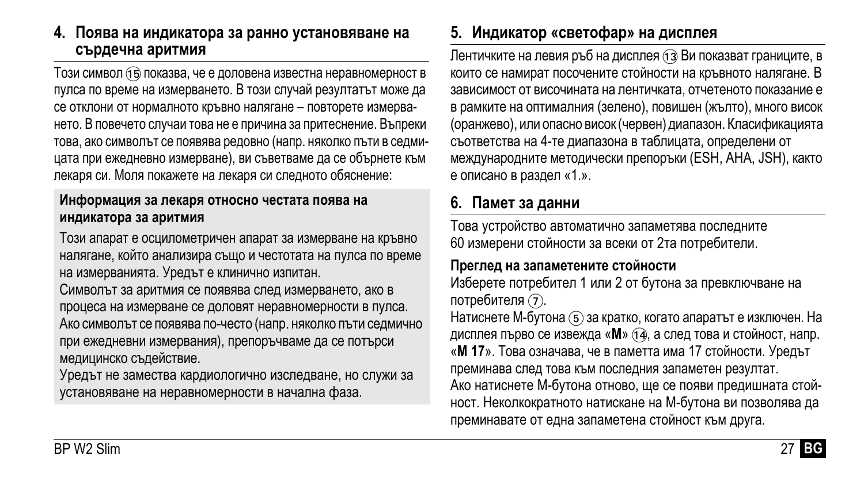#### **4. Поява на индикатора за ранно установяване на сърдечна аритмия**

Този символ (та) показва, че е доловена известна неравномерност в пулса по време на измерването. В този случай резултатът може да се отклони от нормалното кръвно налягане – повторете измерването. В повечето случаи това не е причина за притеснение. Въпреки това, ако символът се появява редовно (напр. няколко пъти в седмицата при ежедневно измерване), ви съветваме да се обърнете към лекаря си. Моля покажете на лекаря си следното обяснение:

#### **Информация за лекаря относно честата поява на индикатора за аритмия**

Този апарат е осцилометричен апарат за измерване на кръвно налягане, който анализира също и честотата на пулса по време на измерванията. Уредът е клинично изпитан.

Символът за аритмия се появява след измерването, ако в процеса на измерване се доловят неравномерности в пулса. Ако символът се появява по-често (напр. няколко пъти седмично при ежедневни измервания), препоръчваме да се потърси медицинско съдействие.

Уредът не замества кардиологично изследване, но служи за установяване на неравномерности в начална фаза.

## **5. Индикатор «светофар» на дисплея**

Лентичките на левия ръб на дисплея (13) Ви показват границите, в които се намират посочените стойности на кръвното налягане. В зависимост от височината на лентичката, отчетеното показание е в рамките на оптималния (зелено), повишен (жълто), много висок (оранжево), или опасно висок (червен) диапазон. Класификацията съответства на 4-те диапазона в таблицата, определени от международните методически препоръки (ESH, AHA, JSH), както е описано в раздел «1.».

### **6. Памет за данни**

Това устройство автоматично запаметява последните 60 измерени стойности за всеки от 2та потребители.

#### **Преглед на запаметените стойности**

Изберете потребител 1 или 2 от бутона за превключване на потребителя (7).

Натиснете М-бутона (5) за кратко, когато апаратът е изключен. На дисплея първо се извежда «М» (14), а след това и стойност, напр. «**M 17**». Това означава, че в паметта има 17 стойности. Уредът преминава след това към последния запаметен резултат.

Ако натиснете М-бутона отново, ще се появи предишната стойност. Неколкократното натискане на М-бутона ви позволява да преминавате от една запаметена стойност към друга.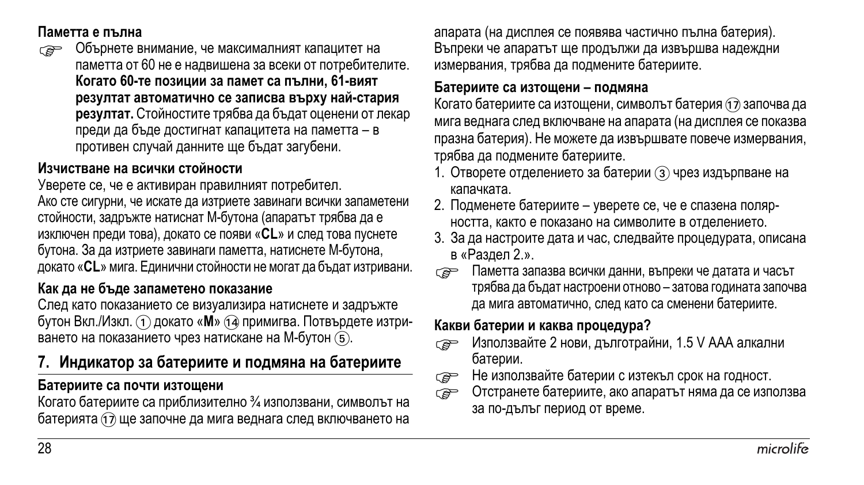#### **Паметта е пълна**

 Обърнете внимание, че максималният капацитет на паметта от 60 не е надвишена за всеки от потребителите. **Когато 60-те позиции за памет са пълни, 61-вият резултат автоматично се записва върху най-стария резултат.** Стойностите трябва да бъдат оценени от лекар преди да бъде достигнат капацитета на паметта – в противен случай данните ще бъдат загубени.

#### **Изчистване на всички стойности**

Уверете се, че е активиран правилният потребител. Ако сте сигурни, че искате да изтриете завинаги всички запаметени стойности, задръжте натиснат М-бутона (апаратът трябва да е изключен преди това), докато се появи «**CL**» и след това пуснете бутона. За да изтриете завинаги паметта, натиснете М-бутона, докато «**CL**» мига. Единични стойности не могат да бъдат изтривани.

#### **Как да не бъде запаметено показание**

След като показанието се визуализира натиснете и задръжте бутон Вкл./Изкл. 1 докато «М» 14 примигва. Потвърдете изтриването на показанието чрез натискане на М-бутон  $(5)$ .

### **7. Индикатор за батериите и подмяна на батериите**

#### **Батериите са почти изтощени**

Когато батериите са приблизително ¾ използвани, символът на батерията  $\overline{a}$  ще започне да мига веднага след включването на апарата (на дисплея се появява частично пълнa батерия). Въпреки че апаратът ще продължи да извършва надеждни измервания, трябва да подмените батериите.

#### **Батериите са изтощени – подмяна**

Когато батериите са изтощени, символът батерия (1) започва да мига веднага след включване на апарата (на дисплея се показва празна батерия). Не можете да извършвате повече измервания, трябва да подмените батериите.

- 1. Отворете отделението за батерии  $(3)$  чрез издърпване на капачката.
- 2. Подменете батериите уверете се, че е спазена полярността, както е показано на символите в отделението.
- 3. За да настроите дата и час, следвайте процедурата, описана в «Раздел 2.».
- Паметта запазва всички данни, въпреки че датата <sup>и</sup> часът трябва да бъдат настроени отново – затова годината започва да мига автоматично, след като са сменени батериите.

#### **Какви батерии и каква процедура?**

- Използвайте 2 нови, дълготрайни, 1.5 V AAA алкални батерии.
- $\epsilon$  Не използвайте батерии с изтекъл срок на годност.<br>Ге → Отстранете батериите, ако апаратът няма да се изп
- Отстранете батериите, ако апаратът няма да се използва за по-дълъг период от време.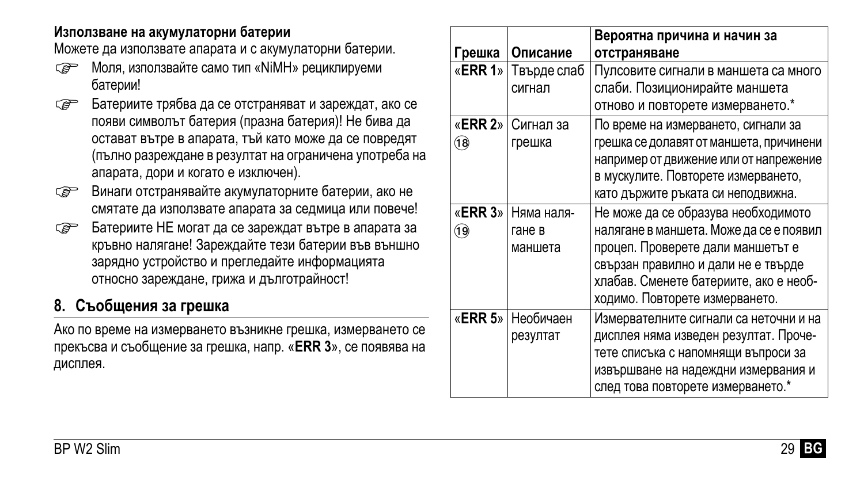#### **Използване на акумулаторни батерии**

Можете да използвате апарата и с акумулаторни батерии.

- $\epsilon \rightarrow$  Моля, използвайте само тип «NiMH» рециклируеми батерии!
- Сер Батериите трябва да се отстраняват и зареждат, ако се появи символът батерия (празна батерия)! Не бива да остават вътре в апарата, тъй като може да се повредят (пълно разреждане в резултат на ограничена употреба на апарата, дори и когато е изключен).
- Винаги отстранявайте акумулаторните батерии, ако не смятате да използвате апарата за седмица или повече!
- Батериите НЕ могат да се зареждат вътре в апарата за кръвно налягане! Зареждайте тези батерии във външно зарядно устройство и прегледайте информацията относно зареждане, грижа и дълготрайност!

# **8. Съобщения за грешка**

Ако по време на измерването възникне грешка, измерването се прекъсва и съобщение за грешка, напр. «**ERR 3**», се появява на дисплея.

| Грешка          | Описание                               | Вероятна причина и начин за<br>отстраняване                                                                                                                                                                                            |
|-----------------|----------------------------------------|----------------------------------------------------------------------------------------------------------------------------------------------------------------------------------------------------------------------------------------|
| «ERR 1»         | Твърде слаб<br>сигнал                  | Пулсовите сигнали в маншета са много<br>слаби. Позиционирайте маншета<br>отново и повторете измерването.*                                                                                                                              |
| (18)            | « <b>ERR 2</b> »   Сигнал за<br>грешка | По време на измерването, сигнали за<br>грешка се долавят от маншета, причинени<br>например от движение или от напрежение<br>в мускулите. Повторете измерването,<br>като държите ръката си неподвижна.                                  |
| «ERR 3»<br>(19) | Няма наля-<br>гане в<br>маншета        | Не може да се образува необходимото<br>налягане в маншета. Може да се е появил<br>процеп. Проверете дали маншетът е<br>свързан правилно и дали не е твърде<br>хлабав. Сменете батериите, ако е необ-<br>ходимо. Повторете измерването. |
|                 | «ERR 5» Необичаен<br>резултат          | Измервателните сигнали са неточни и на<br>дисплея няма изведен резултат. Проче-<br>тете списъка с напомнящи въпроси за<br>извършване на надеждни измервания и<br>след това повторете измерването.*                                     |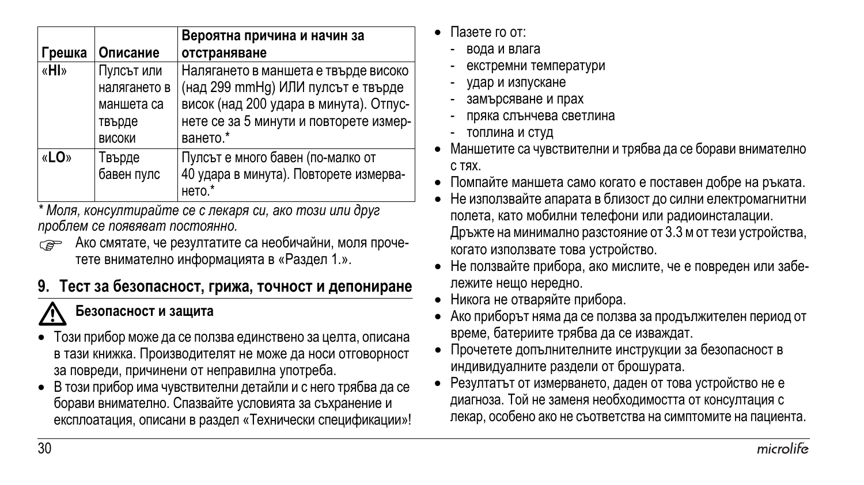|        |                                                                     | Вероятна причина и начин за                                                                                                                                                |
|--------|---------------------------------------------------------------------|----------------------------------------------------------------------------------------------------------------------------------------------------------------------------|
| Грешка | Описание                                                            | отстраняване                                                                                                                                                               |
| «HI»   | Пулсът или<br>налягането в<br>маншета са<br>твърде<br><b>ВИСОКИ</b> | Налягането в маншета е твърде високо<br>(над 299 mmHg) ИЛИ пулсът е твърде<br>висок (над 200 удара в минута). Отпус-<br>нете се за 5 минути и повторете измер-<br>ването.* |
| «LO»   | Твърде<br>бавен пулс                                                | Пулсът е много бавен (по-малко от<br>40 удара в минута). Повторете измерва-<br>нето.*                                                                                      |

*\* Моля, консултирайте се с лекаря си, ако този или друг проблем се появяват постоянно.*

**ВЕРОС АКО СМЯТАТЕ, че резултатите са необичайни, моля проче**тете внимателно информацията в «Раздел 1.».

# **9. Тест за безопасност, грижа, точност и депониране**

### **Безопасност <sup>и</sup> защита**

- -• Този прибор може да се ползва единствено за целта, описана в тази книжка. Производителят не може да носи отговорност за повреди, причинени от неправилна употреба.
- В този прибор има чувствителни детайли и с него трябва да се борави внимателно. Спазвайте условията за съхранение и експлоатация, описани в раздел «Технически спецификации»!
- Пазете го от:
	- вода и влага
	- екстремни температури
	- удар и изпускане
	- замърсяване и прах
	- пряка слънчева светлина
	- топлина и студ
- Маншетите са чувствителни и трябва да се борави внимателно с тях.
- Помпайте маншета само когато е поставен добре на ръката.
- Не използвайте апарата в близост до силни електромагнитни полета, като мобилни телефони или радиоинсталации. Дръжте на минимално разстояние от 3.3 м оттези устройства, когато използвате това устройство.
- Не ползвайте прибора, ако мислите, че е повреден или забележите нещо нередно.
- Никога не отваряйте прибора.
- Ако приборът няма да се ползва за продължителен период от време, батериите трябва да се изваждат.
- Прочетете допълнителните инструкции за безопасност в индивидуалните раздели от брошурата.
- Резултатът от измерването, даден от това устройство не е диагноза. Той не заменя необходимостта от консултация с лекар, особено ако не съответства на симптомите на пациента.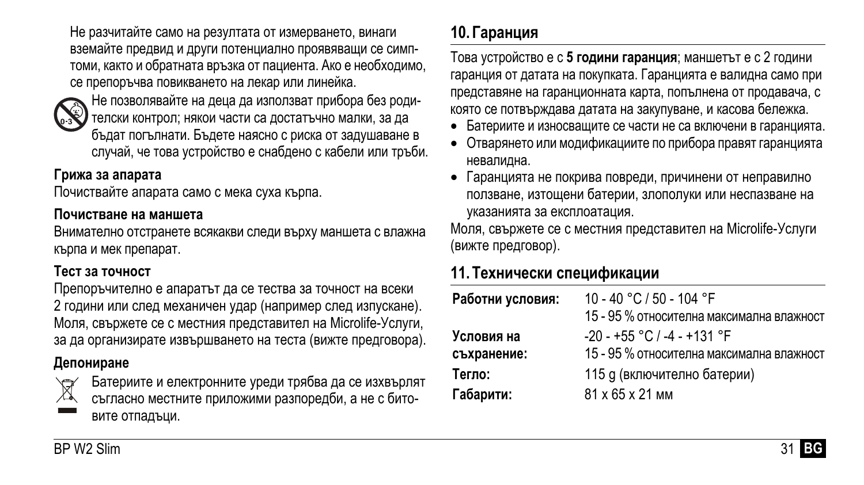Не разчитайте само на резултата от измерването, винаги вземайте предвид и други потенциално проявяващи се симптоми, както и обратната връзка от пациента. Ако е необходимо, се препоръчва повикването на лекар или линейка.



Не позволявайте на деца да използват прибора без родителски контрол; някои части са достатъчно малки, за да бъдат погълнати. Бъдете наясно с риска от задушаване в случай, че това устройство е снабдено с кабели или тръби.

#### **Грижа за апарата**

Почиствайте апарата само с мека суха кърпа.

#### **Почистване на маншета**

вите отпадъци.

Внимателно отстранете всякакви следи върху маншета с влажна кърпа и мек препарат.

#### **Тест за точност**

Препоръчително е апаратът да се тества за точност на всеки 2 години или след механичен удар (например след изпускане). Моля, свържете се с местния представител на Microlife-Услуги, за да организирате извършването на теста (вижте предговора).

#### **Депониране**



Батериите и електронните уреди трябва да се изхвърлят съгласно местните приложими разпоредби, а не с бито-

# **10. Гаранция**

Това устройство е с **5 години гаранция**; маншетът е с 2 години гаранция от датата на покупката. Гаранцията е валидна само при представяне на гаранционната карта, попълнена от продавача, с която се потвърждава датата на закупуване, и касова бележка.

- Батериите и износващите се части не са включени в гаранцията.
- Отварянето или модификациите по прибора правят гаранцията невалидна.
- Гаранцията не покрива повреди, причинени от неправилно ползване, изтощени батерии, злополуки или неспазване на указанията за експлоатация.

Моля, свържете се с местния представител на Microlife-Услуги (вижте предговор).

# **11. Технически спецификации**

| Работни условия: | 10 - 40 °C / 50 - 104 °F                  |
|------------------|-------------------------------------------|
|                  | 15 - 95 % относителна максимална влажност |
| Условия на       | $-20 - +55$ °C / $-4 - +131$ °F           |
| съхранение:      | 15 - 95 % относителна максимална влажност |
| Тегло:           | 115 g (включително батерии)               |
| Габарити:        | 81 x 65 x 21 MM                           |
|                  |                                           |